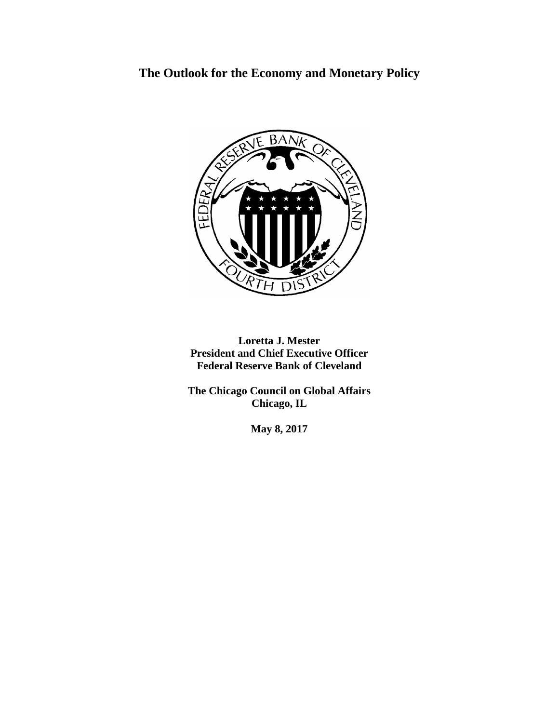# **The Outlook for the Economy and Monetary Policy**



**Loretta J. Mester President and Chief Executive Officer Federal Reserve Bank of Cleveland**

**The Chicago Council on Global Affairs Chicago, IL**

**May 8, 2017**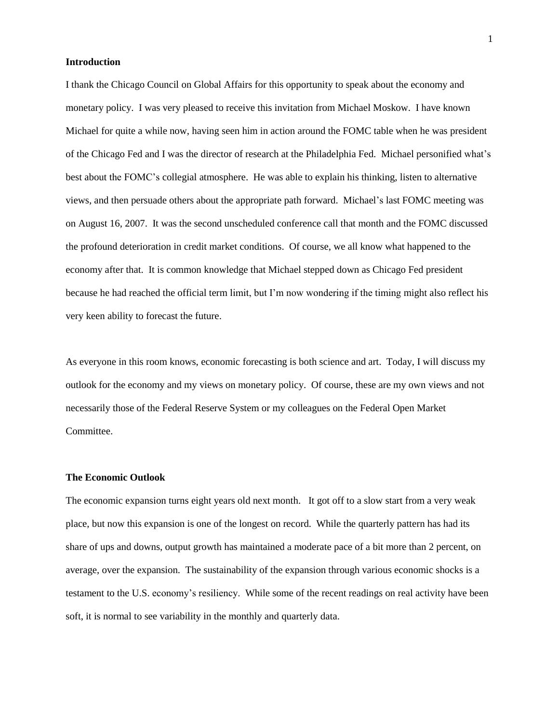# **Introduction**

I thank the Chicago Council on Global Affairs for this opportunity to speak about the economy and monetary policy. I was very pleased to receive this invitation from Michael Moskow. I have known Michael for quite a while now, having seen him in action around the FOMC table when he was president of the Chicago Fed and I was the director of research at the Philadelphia Fed. Michael personified what's best about the FOMC's collegial atmosphere. He was able to explain his thinking, listen to alternative views, and then persuade others about the appropriate path forward. Michael's last FOMC meeting was on August 16, 2007. It was the second unscheduled conference call that month and the FOMC discussed the profound deterioration in credit market conditions. Of course, we all know what happened to the economy after that. It is common knowledge that Michael stepped down as Chicago Fed president because he had reached the official term limit, but I'm now wondering if the timing might also reflect his very keen ability to forecast the future.

As everyone in this room knows, economic forecasting is both science and art. Today, I will discuss my outlook for the economy and my views on monetary policy. Of course, these are my own views and not necessarily those of the Federal Reserve System or my colleagues on the Federal Open Market Committee.

## **The Economic Outlook**

The economic expansion turns eight years old next month. It got off to a slow start from a very weak place, but now this expansion is one of the longest on record. While the quarterly pattern has had its share of ups and downs, output growth has maintained a moderate pace of a bit more than 2 percent, on average, over the expansion. The sustainability of the expansion through various economic shocks is a testament to the U.S. economy's resiliency. While some of the recent readings on real activity have been soft, it is normal to see variability in the monthly and quarterly data.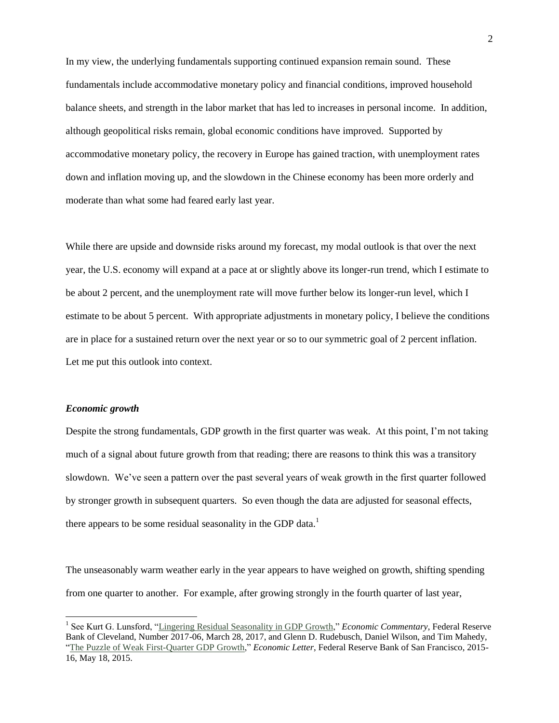In my view, the underlying fundamentals supporting continued expansion remain sound. These fundamentals include accommodative monetary policy and financial conditions, improved household balance sheets, and strength in the labor market that has led to increases in personal income. In addition, although geopolitical risks remain, global economic conditions have improved. Supported by accommodative monetary policy, the recovery in Europe has gained traction, with unemployment rates down and inflation moving up, and the slowdown in the Chinese economy has been more orderly and moderate than what some had feared early last year.

While there are upside and downside risks around my forecast, my modal outlook is that over the next year, the U.S. economy will expand at a pace at or slightly above its longer-run trend, which I estimate to be about 2 percent, and the unemployment rate will move further below its longer-run level, which I estimate to be about 5 percent. With appropriate adjustments in monetary policy, I believe the conditions are in place for a sustained return over the next year or so to our symmetric goal of 2 percent inflation. Let me put this outlook into context.

## *Economic growth*

l

Despite the strong fundamentals, GDP growth in the first quarter was weak. At this point, I'm not taking much of a signal about future growth from that reading; there are reasons to think this was a transitory slowdown. We've seen a pattern over the past several years of weak growth in the first quarter followed by stronger growth in subsequent quarters. So even though the data are adjusted for seasonal effects, there appears to be some residual seasonality in the GDP data. $<sup>1</sup>$ </sup>

The unseasonably warm weather early in the year appears to have weighed on growth, shifting spending from one quarter to another. For example, after growing strongly in the fourth quarter of last year,

<sup>&</sup>lt;sup>1</sup> See Kurt G. Lunsford, ["Lingering Residual Seasonality in GDP Growth,](https://www.clevelandfed.org/en/newsroom-and-events/publications/economic-commentary/2017-economic-commentaries/ec-201706-lingering-residual-seasonality-in-gdp-growth.aspx)" *Economic Commentary*, Federal Reserve Bank of Cleveland, Number 2017-06, March 28, 2017, and Glenn D. Rudebusch, Daniel Wilson, and Tim Mahedy, ["The Puzzle of Weak First-Quarter GDP Growth,](http://www.frbsf.org/economic-research/files/el2015-16.pdf)" *Economic Letter*, Federal Reserve Bank of San Francisco, 2015- 16, May 18, 2015.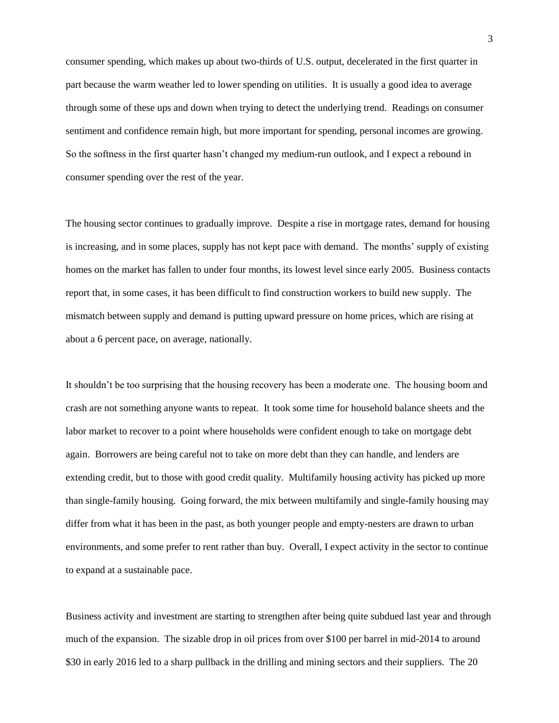consumer spending, which makes up about two-thirds of U.S. output, decelerated in the first quarter in part because the warm weather led to lower spending on utilities. It is usually a good idea to average through some of these ups and down when trying to detect the underlying trend. Readings on consumer sentiment and confidence remain high, but more important for spending, personal incomes are growing. So the softness in the first quarter hasn't changed my medium-run outlook, and I expect a rebound in consumer spending over the rest of the year.

The housing sector continues to gradually improve. Despite a rise in mortgage rates, demand for housing is increasing, and in some places, supply has not kept pace with demand. The months' supply of existing homes on the market has fallen to under four months, its lowest level since early 2005. Business contacts report that, in some cases, it has been difficult to find construction workers to build new supply. The mismatch between supply and demand is putting upward pressure on home prices, which are rising at about a 6 percent pace, on average, nationally.

It shouldn't be too surprising that the housing recovery has been a moderate one. The housing boom and crash are not something anyone wants to repeat. It took some time for household balance sheets and the labor market to recover to a point where households were confident enough to take on mortgage debt again. Borrowers are being careful not to take on more debt than they can handle, and lenders are extending credit, but to those with good credit quality. Multifamily housing activity has picked up more than single-family housing. Going forward, the mix between multifamily and single-family housing may differ from what it has been in the past, as both younger people and empty-nesters are drawn to urban environments, and some prefer to rent rather than buy. Overall, I expect activity in the sector to continue to expand at a sustainable pace.

Business activity and investment are starting to strengthen after being quite subdued last year and through much of the expansion. The sizable drop in oil prices from over \$100 per barrel in mid-2014 to around \$30 in early 2016 led to a sharp pullback in the drilling and mining sectors and their suppliers. The 20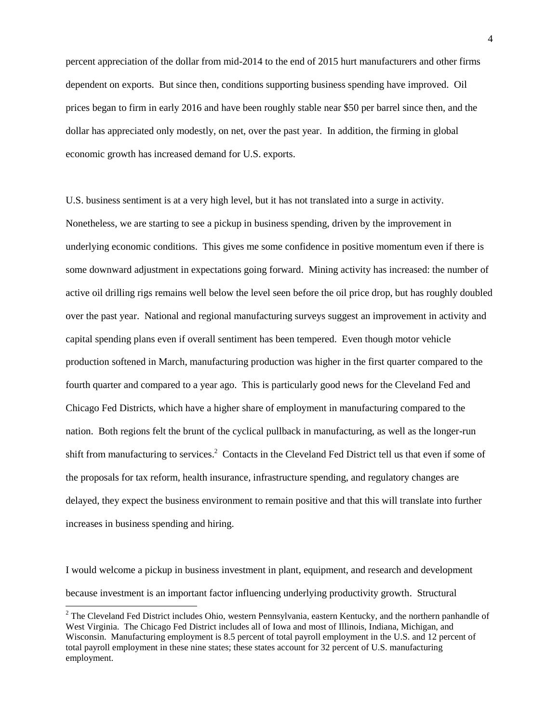percent appreciation of the dollar from mid-2014 to the end of 2015 hurt manufacturers and other firms dependent on exports. But since then, conditions supporting business spending have improved. Oil prices began to firm in early 2016 and have been roughly stable near \$50 per barrel since then, and the dollar has appreciated only modestly, on net, over the past year. In addition, the firming in global economic growth has increased demand for U.S. exports.

U.S. business sentiment is at a very high level, but it has not translated into a surge in activity. Nonetheless, we are starting to see a pickup in business spending, driven by the improvement in underlying economic conditions. This gives me some confidence in positive momentum even if there is some downward adjustment in expectations going forward. Mining activity has increased: the number of active oil drilling rigs remains well below the level seen before the oil price drop, but has roughly doubled over the past year. National and regional manufacturing surveys suggest an improvement in activity and capital spending plans even if overall sentiment has been tempered. Even though motor vehicle production softened in March, manufacturing production was higher in the first quarter compared to the fourth quarter and compared to a year ago. This is particularly good news for the Cleveland Fed and Chicago Fed Districts, which have a higher share of employment in manufacturing compared to the nation. Both regions felt the brunt of the cyclical pullback in manufacturing, as well as the longer-run shift from manufacturing to services.<sup>2</sup> Contacts in the Cleveland Fed District tell us that even if some of the proposals for tax reform, health insurance, infrastructure spending, and regulatory changes are delayed, they expect the business environment to remain positive and that this will translate into further increases in business spending and hiring.

I would welcome a pickup in business investment in plant, equipment, and research and development because investment is an important factor influencing underlying productivity growth. Structural

 $\overline{a}$ 

<sup>&</sup>lt;sup>2</sup> The Cleveland Fed District includes Ohio, western Pennsylvania, eastern Kentucky, and the northern panhandle of West Virginia. The Chicago Fed District includes all of Iowa and most of Illinois, Indiana, Michigan, and Wisconsin. Manufacturing employment is 8.5 percent of total payroll employment in the U.S. and 12 percent of total payroll employment in these nine states; these states account for 32 percent of U.S. manufacturing employment.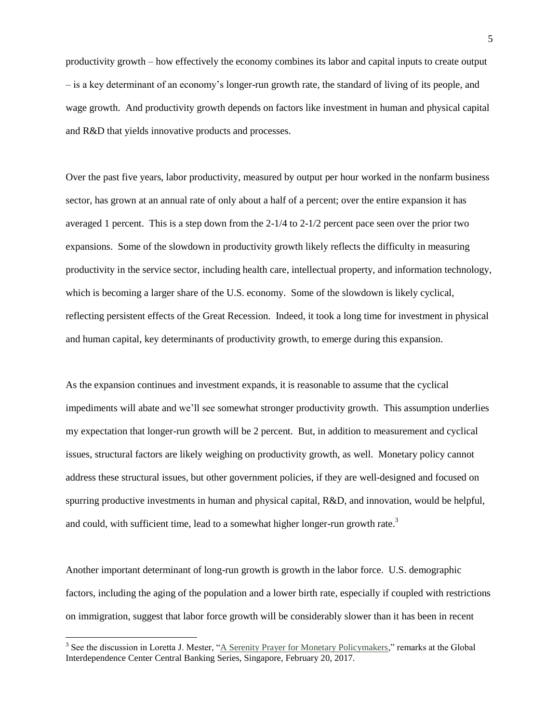productivity growth – how effectively the economy combines its labor and capital inputs to create output – is a key determinant of an economy's longer-run growth rate, the standard of living of its people, and wage growth. And productivity growth depends on factors like investment in human and physical capital and R&D that yields innovative products and processes.

Over the past five years, labor productivity, measured by output per hour worked in the nonfarm business sector, has grown at an annual rate of only about a half of a percent; over the entire expansion it has averaged 1 percent. This is a step down from the 2-1/4 to 2-1/2 percent pace seen over the prior two expansions. Some of the slowdown in productivity growth likely reflects the difficulty in measuring productivity in the service sector, including health care, intellectual property, and information technology, which is becoming a larger share of the U.S. economy. Some of the slowdown is likely cyclical, reflecting persistent effects of the Great Recession. Indeed, it took a long time for investment in physical and human capital, key determinants of productivity growth, to emerge during this expansion.

As the expansion continues and investment expands, it is reasonable to assume that the cyclical impediments will abate and we'll see somewhat stronger productivity growth. This assumption underlies my expectation that longer-run growth will be 2 percent. But, in addition to measurement and cyclical issues, structural factors are likely weighing on productivity growth, as well. Monetary policy cannot address these structural issues, but other government policies, if they are well-designed and focused on spurring productive investments in human and physical capital, R&D, and innovation, would be helpful, and could, with sufficient time, lead to a somewhat higher longer-run growth rate. $3$ 

Another important determinant of long-run growth is growth in the labor force. U.S. demographic factors, including the aging of the population and a lower birth rate, especially if coupled with restrictions on immigration, suggest that labor force growth will be considerably slower than it has been in recent

l

<sup>&</sup>lt;sup>3</sup> See the discussion in Loretta J. Mester, ["A Serenity Prayer for Monetary Policymakers,"](https://www.clevelandfed.org/newsroom-and-events/speeches/sp-20170220-a-serenity-prayer-for-monetary-policymakers.aspx) remarks at the Global Interdependence Center Central Banking Series, Singapore, February 20, 2017.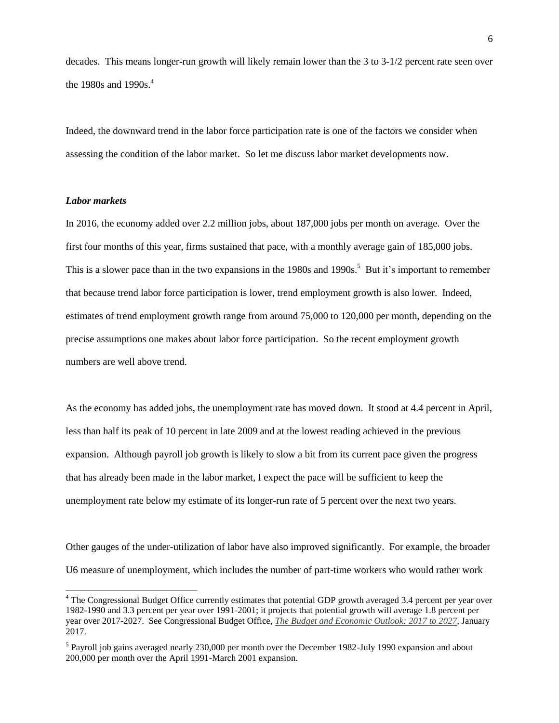decades. This means longer-run growth will likely remain lower than the 3 to 3-1/2 percent rate seen over the 1980s and 1990s.<sup>4</sup>

Indeed, the downward trend in the labor force participation rate is one of the factors we consider when assessing the condition of the labor market. So let me discuss labor market developments now.

# *Labor markets*

l

In 2016, the economy added over 2.2 million jobs, about 187,000 jobs per month on average. Over the first four months of this year, firms sustained that pace, with a monthly average gain of 185,000 jobs. This is a slower pace than in the two expansions in the 1980s and 1990s.<sup>5</sup> But it's important to remember that because trend labor force participation is lower, trend employment growth is also lower. Indeed, estimates of trend employment growth range from around 75,000 to 120,000 per month, depending on the precise assumptions one makes about labor force participation. So the recent employment growth numbers are well above trend.

As the economy has added jobs, the unemployment rate has moved down. It stood at 4.4 percent in April, less than half its peak of 10 percent in late 2009 and at the lowest reading achieved in the previous expansion. Although payroll job growth is likely to slow a bit from its current pace given the progress that has already been made in the labor market, I expect the pace will be sufficient to keep the unemployment rate below my estimate of its longer-run rate of 5 percent over the next two years.

Other gauges of the under-utilization of labor have also improved significantly. For example, the broader U6 measure of unemployment, which includes the number of part-time workers who would rather work

<sup>&</sup>lt;sup>4</sup> The Congressional Budget Office currently estimates that potential GDP growth averaged 3.4 percent per year over 1982-1990 and 3.3 percent per year over 1991-2001; it projects that potential growth will average 1.8 percent per year over 2017-2027. See Congressional Budget Office, *[The Budget and Economic Outlook: 2017 to 2027](https://www.cbo.gov/sites/default/files/115th-congress-2017-2018/reports/52370-budeconoutlook.pdf)*, January 2017.

<sup>&</sup>lt;sup>5</sup> Payroll job gains averaged nearly 230,000 per month over the December 1982-July 1990 expansion and about 200,000 per month over the April 1991-March 2001 expansion.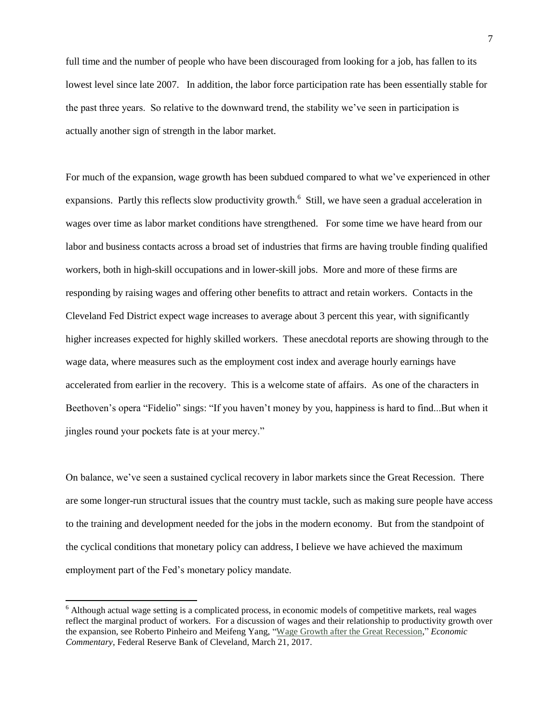full time and the number of people who have been discouraged from looking for a job, has fallen to its lowest level since late 2007. In addition, the labor force participation rate has been essentially stable for the past three years. So relative to the downward trend, the stability we've seen in participation is actually another sign of strength in the labor market.

For much of the expansion, wage growth has been subdued compared to what we've experienced in other expansions. Partly this reflects slow productivity growth.<sup>6</sup> Still, we have seen a gradual acceleration in wages over time as labor market conditions have strengthened. For some time we have heard from our labor and business contacts across a broad set of industries that firms are having trouble finding qualified workers, both in high-skill occupations and in lower-skill jobs. More and more of these firms are responding by raising wages and offering other benefits to attract and retain workers. Contacts in the Cleveland Fed District expect wage increases to average about 3 percent this year, with significantly higher increases expected for highly skilled workers. These anecdotal reports are showing through to the wage data, where measures such as the employment cost index and average hourly earnings have accelerated from earlier in the recovery. This is a welcome state of affairs. As one of the characters in Beethoven's opera "Fidelio" sings: "If you haven't money by you, happiness is hard to find...But when it jingles round your pockets fate is at your mercy."

On balance, we've seen a sustained cyclical recovery in labor markets since the Great Recession. There are some longer-run structural issues that the country must tackle, such as making sure people have access to the training and development needed for the jobs in the modern economy. But from the standpoint of the cyclical conditions that monetary policy can address, I believe we have achieved the maximum employment part of the Fed's monetary policy mandate.

 $\overline{a}$ 

<sup>&</sup>lt;sup>6</sup> Although actual wage setting is a complicated process, in economic models of competitive markets, real wages reflect the marginal product of workers. For a discussion of wages and their relationship to productivity growth over the expansion, see Roberto Pinheiro and Meifeng Yang, ["Wage Growth after the Great Recession,](https://www.clevelandfed.org/newsroom-and-events/publications/economic-commentary/2017-economic-commentaries/ec-201704-wage-growth-after-great-recession.aspx)" *Economic Commentary*, Federal Reserve Bank of Cleveland, March 21, 2017.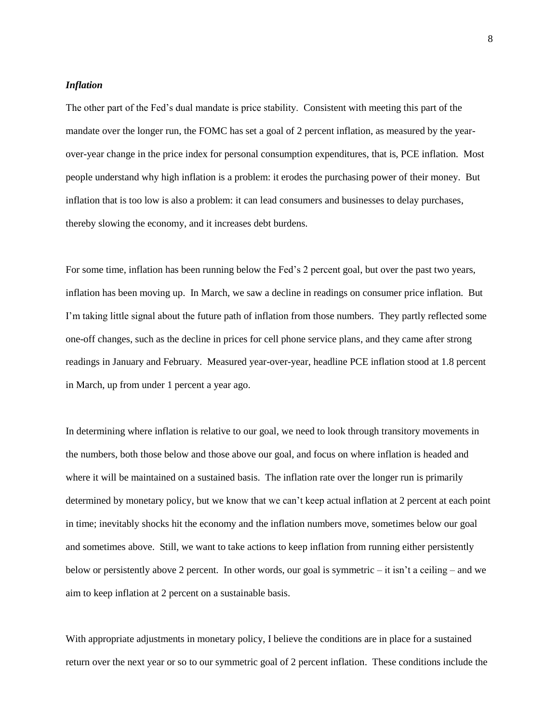## *Inflation*

The other part of the Fed's dual mandate is price stability. Consistent with meeting this part of the mandate over the longer run, the FOMC has set a goal of 2 percent inflation, as measured by the yearover-year change in the price index for personal consumption expenditures, that is, PCE inflation. Most people understand why high inflation is a problem: it erodes the purchasing power of their money. But inflation that is too low is also a problem: it can lead consumers and businesses to delay purchases, thereby slowing the economy, and it increases debt burdens.

For some time, inflation has been running below the Fed's 2 percent goal, but over the past two years, inflation has been moving up. In March, we saw a decline in readings on consumer price inflation. But I'm taking little signal about the future path of inflation from those numbers. They partly reflected some one-off changes, such as the decline in prices for cell phone service plans, and they came after strong readings in January and February. Measured year-over-year, headline PCE inflation stood at 1.8 percent in March, up from under 1 percent a year ago.

In determining where inflation is relative to our goal, we need to look through transitory movements in the numbers, both those below and those above our goal, and focus on where inflation is headed and where it will be maintained on a sustained basis. The inflation rate over the longer run is primarily determined by monetary policy, but we know that we can't keep actual inflation at 2 percent at each point in time; inevitably shocks hit the economy and the inflation numbers move, sometimes below our goal and sometimes above. Still, we want to take actions to keep inflation from running either persistently below or persistently above 2 percent. In other words, our goal is symmetric – it isn't a ceiling – and we aim to keep inflation at 2 percent on a sustainable basis.

With appropriate adjustments in monetary policy, I believe the conditions are in place for a sustained return over the next year or so to our symmetric goal of 2 percent inflation. These conditions include the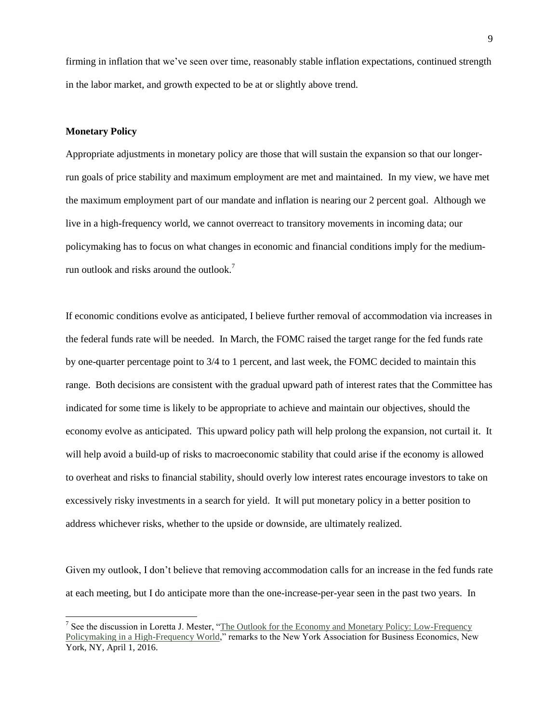firming in inflation that we've seen over time, reasonably stable inflation expectations, continued strength in the labor market, and growth expected to be at or slightly above trend.

## **Monetary Policy**

l

Appropriate adjustments in monetary policy are those that will sustain the expansion so that our longerrun goals of price stability and maximum employment are met and maintained. In my view, we have met the maximum employment part of our mandate and inflation is nearing our 2 percent goal. Although we live in a high-frequency world, we cannot overreact to transitory movements in incoming data; our policymaking has to focus on what changes in economic and financial conditions imply for the mediumrun outlook and risks around the outlook.<sup>7</sup>

If economic conditions evolve as anticipated, I believe further removal of accommodation via increases in the federal funds rate will be needed. In March, the FOMC raised the target range for the fed funds rate by one-quarter percentage point to 3/4 to 1 percent, and last week, the FOMC decided to maintain this range. Both decisions are consistent with the gradual upward path of interest rates that the Committee has indicated for some time is likely to be appropriate to achieve and maintain our objectives, should the economy evolve as anticipated. This upward policy path will help prolong the expansion, not curtail it. It will help avoid a build-up of risks to macroeconomic stability that could arise if the economy is allowed to overheat and risks to financial stability, should overly low interest rates encourage investors to take on excessively risky investments in a search for yield. It will put monetary policy in a better position to address whichever risks, whether to the upside or downside, are ultimately realized.

Given my outlook, I don't believe that removing accommodation calls for an increase in the fed funds rate at each meeting, but I do anticipate more than the one-increase-per-year seen in the past two years. In

<sup>&</sup>lt;sup>7</sup> See the discussion in Loretta J. Mester, "The Outlook for the Economy and Monetary Policy: Low-Frequency [Policymaking in a High-Frequency World,](https://www.clevelandfed.org/newsroom-and-events/speeches/sp-20160401-the-outlook-for-the-economy-and-monetary-policy.aspx)" remarks to the New York Association for Business Economics, New York, NY, April 1, 2016.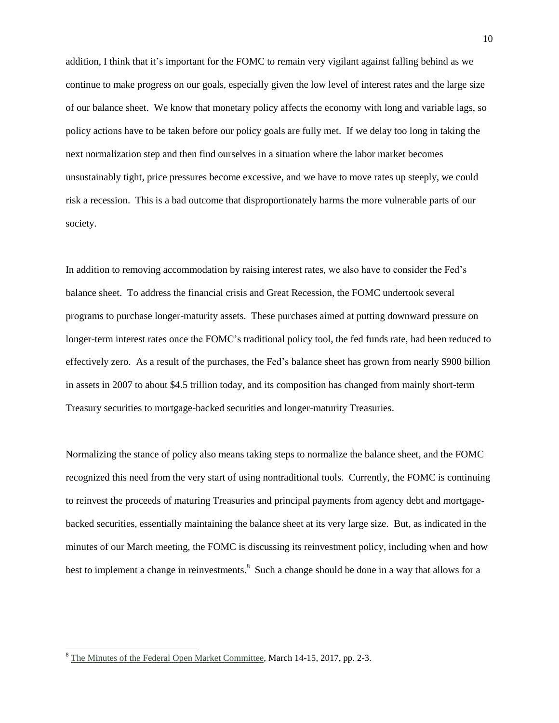addition, I think that it's important for the FOMC to remain very vigilant against falling behind as we continue to make progress on our goals, especially given the low level of interest rates and the large size of our balance sheet. We know that monetary policy affects the economy with long and variable lags, so policy actions have to be taken before our policy goals are fully met. If we delay too long in taking the next normalization step and then find ourselves in a situation where the labor market becomes unsustainably tight, price pressures become excessive, and we have to move rates up steeply, we could risk a recession. This is a bad outcome that disproportionately harms the more vulnerable parts of our society.

In addition to removing accommodation by raising interest rates, we also have to consider the Fed's balance sheet. To address the financial crisis and Great Recession, the FOMC undertook several programs to purchase longer-maturity assets. These purchases aimed at putting downward pressure on longer-term interest rates once the FOMC's traditional policy tool, the fed funds rate, had been reduced to effectively zero. As a result of the purchases, the Fed's balance sheet has grown from nearly \$900 billion in assets in 2007 to about \$4.5 trillion today, and its composition has changed from mainly short-term Treasury securities to mortgage-backed securities and longer-maturity Treasuries.

Normalizing the stance of policy also means taking steps to normalize the balance sheet, and the FOMC recognized this need from the very start of using nontraditional tools. Currently, the FOMC is continuing to reinvest the proceeds of maturing Treasuries and principal payments from agency debt and mortgagebacked securities, essentially maintaining the balance sheet at its very large size. But, as indicated in the minutes of our March meeting, the FOMC is discussing its reinvestment policy, including when and how best to implement a change in reinvestments.<sup>8</sup> Such a change should be done in a way that allows for a

l

<sup>&</sup>lt;sup>8</sup> [The Minutes of the Federal Open Market Committee,](https://www.federalreserve.gov/monetarypolicy/files/fomcminutes20170315.pdf) March 14-15, 2017, pp. 2-3.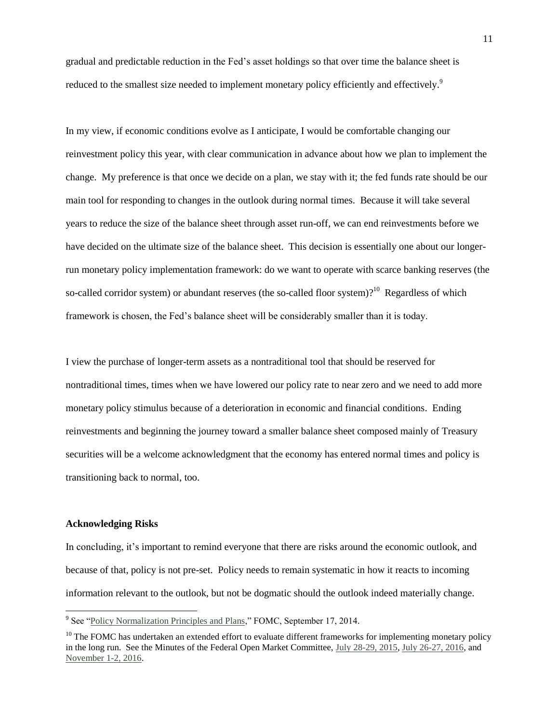gradual and predictable reduction in the Fed's asset holdings so that over time the balance sheet is reduced to the smallest size needed to implement monetary policy efficiently and effectively.<sup>9</sup>

In my view, if economic conditions evolve as I anticipate, I would be comfortable changing our reinvestment policy this year, with clear communication in advance about how we plan to implement the change. My preference is that once we decide on a plan, we stay with it; the fed funds rate should be our main tool for responding to changes in the outlook during normal times. Because it will take several years to reduce the size of the balance sheet through asset run-off, we can end reinvestments before we have decided on the ultimate size of the balance sheet. This decision is essentially one about our longerrun monetary policy implementation framework: do we want to operate with scarce banking reserves (the so-called corridor system) or abundant reserves (the so-called floor system)?<sup>10</sup> Regardless of which framework is chosen, the Fed's balance sheet will be considerably smaller than it is today.

I view the purchase of longer-term assets as a nontraditional tool that should be reserved for nontraditional times, times when we have lowered our policy rate to near zero and we need to add more monetary policy stimulus because of a deterioration in economic and financial conditions. Ending reinvestments and beginning the journey toward a smaller balance sheet composed mainly of Treasury securities will be a welcome acknowledgment that the economy has entered normal times and policy is transitioning back to normal, too.

#### **Acknowledging Risks**

l

In concluding, it's important to remind everyone that there are risks around the economic outlook, and because of that, policy is not pre-set. Policy needs to remain systematic in how it reacts to incoming information relevant to the outlook, but not be dogmatic should the outlook indeed materially change.

<sup>&</sup>lt;sup>9</sup> See ["Policy Normalization Principles and Plans,"](https://www.federalreserve.gov/newsevents/press/monetary/20140917c.htm) FOMC, September 17, 2014.

 $10$  The FOMC has undertaken an extended effort to evaluate different frameworks for implementing monetary policy in the long run. See the Minutes of the Federal Open Market Committee, [July 28-29, 2015,](https://www.federalreserve.gov/monetarypolicy/files/fomcminutes20150729.pdf) [July 26-27, 2016,](https://www.federalreserve.gov/monetarypolicy/files/fomcminutes20160727.pdf) and [November 1-2, 2016.](https://www.federalreserve.gov/monetarypolicy/files/fomcminutes20161102.pdf)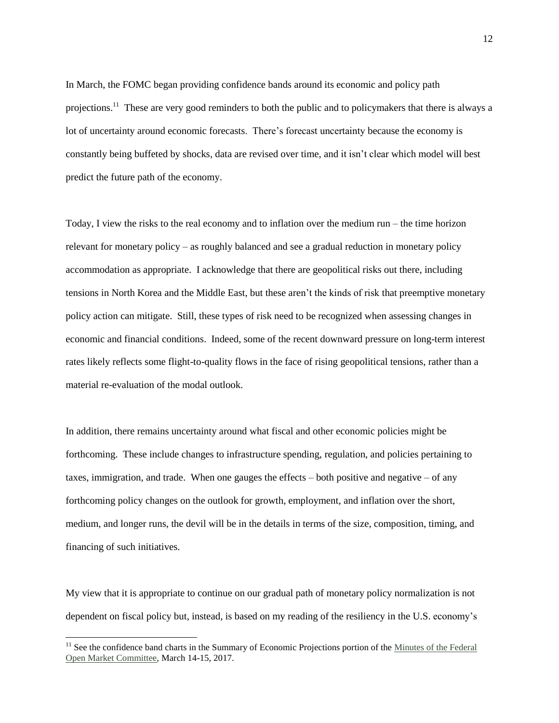In March, the FOMC began providing confidence bands around its economic and policy path projections.<sup>11</sup> These are very good reminders to both the public and to policymakers that there is always a lot of uncertainty around economic forecasts. There's forecast uncertainty because the economy is constantly being buffeted by shocks, data are revised over time, and it isn't clear which model will best predict the future path of the economy.

Today, I view the risks to the real economy and to inflation over the medium run – the time horizon relevant for monetary policy – as roughly balanced and see a gradual reduction in monetary policy accommodation as appropriate. I acknowledge that there are geopolitical risks out there, including tensions in North Korea and the Middle East, but these aren't the kinds of risk that preemptive monetary policy action can mitigate. Still, these types of risk need to be recognized when assessing changes in economic and financial conditions. Indeed, some of the recent downward pressure on long-term interest rates likely reflects some flight-to-quality flows in the face of rising geopolitical tensions, rather than a material re-evaluation of the modal outlook.

In addition, there remains uncertainty around what fiscal and other economic policies might be forthcoming. These include changes to infrastructure spending, regulation, and policies pertaining to taxes, immigration, and trade. When one gauges the effects  $-$  both positive and negative  $-$  of any forthcoming policy changes on the outlook for growth, employment, and inflation over the short, medium, and longer runs, the devil will be in the details in terms of the size, composition, timing, and financing of such initiatives.

My view that it is appropriate to continue on our gradual path of monetary policy normalization is not dependent on fiscal policy but, instead, is based on my reading of the resiliency in the U.S. economy's

l

<sup>&</sup>lt;sup>11</sup> See the confidence band charts in the Summary of Economic Projections portion of the Minutes of the Federal [Open Market Committee,](https://www.federalreserve.gov/monetarypolicy/files/fomcminutes20170315.pdf) March 14-15, 2017.